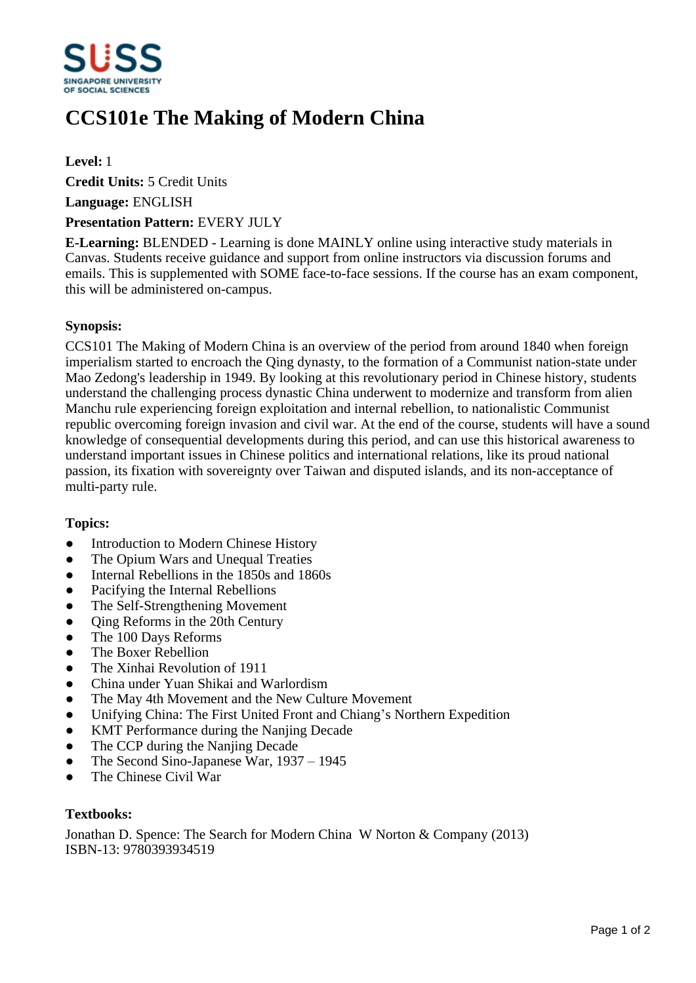

# **CCS101e The Making of Modern China**

## **Level:** 1

**Credit Units:** 5 Credit Units

**Language:** ENGLISH

#### **Presentation Pattern:** EVERY JULY

**E-Learning:** BLENDED - Learning is done MAINLY online using interactive study materials in Canvas. Students receive guidance and support from online instructors via discussion forums and emails. This is supplemented with SOME face-to-face sessions. If the course has an exam component, this will be administered on-campus.

#### **Synopsis:**

CCS101 The Making of Modern China is an overview of the period from around 1840 when foreign imperialism started to encroach the Qing dynasty, to the formation of a Communist nation-state under Mao Zedong's leadership in 1949. By looking at this revolutionary period in Chinese history, students understand the challenging process dynastic China underwent to modernize and transform from alien Manchu rule experiencing foreign exploitation and internal rebellion, to nationalistic Communist republic overcoming foreign invasion and civil war. At the end of the course, students will have a sound knowledge of consequential developments during this period, and can use this historical awareness to understand important issues in Chinese politics and international relations, like its proud national passion, its fixation with sovereignty over Taiwan and disputed islands, and its non-acceptance of multi-party rule.

# **Topics:**

- Introduction to Modern Chinese History
- The Opium Wars and Unequal Treaties
- Internal Rebellions in the 1850s and 1860s
- Pacifying the Internal Rebellions
- ƔThe Self-Strengthening Movement
- $\bullet$  Oing Reforms in the 20th Century
- The 100 Days Reforms
- The Boxer Rebellion
- The Xinhai Revolution of 1911
- ƔChina under Yuan Shikai and Warlordism
- The May 4th Movement and the New Culture Movement
- Unifying China: The First United Front and Chiang's Northern Expedition
- KMT Performance during the Nanjing Decade
- The CCP during the Nanjing Decade
- The Second Sino-Japanese War,  $1937 1945$
- ƔThe Chinese Civil War

## **Textbooks:**

Jonathan D. Spence: The Search for Modern China W Norton & Company (2013) ISBN-13: 9780393934519